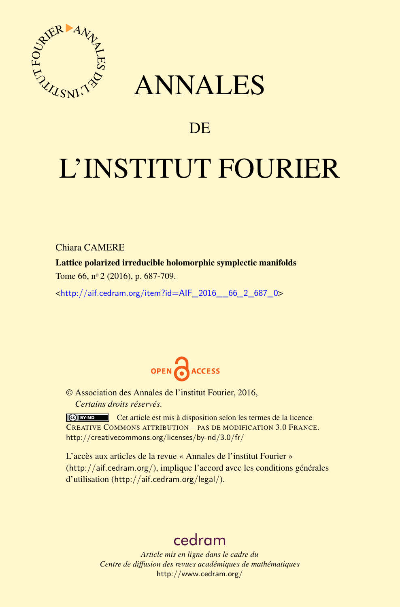

# ANNALES

## **DE**

# L'INSTITUT FOURIER

Chiara CAMERE

Lattice polarized irreducible holomorphic symplectic manifolds

Tome 66, nº 2 (2016), p. 687-709.

 $\kappa$ http://aif.cedram.org/item?id=AIF\_2016\_66\_2\_687\_0>



© Association des Annales de l'institut Fourier, 2016, *Certains droits réservés.*

Cet article est mis à disposition selon les termes de la licence CREATIVE COMMONS ATTRIBUTION – PAS DE MODIFICATION 3.0 FRANCE. <http://creativecommons.org/licenses/by-nd/3.0/fr/>

L'accès aux articles de la revue « Annales de l'institut Fourier » (<http://aif.cedram.org/>), implique l'accord avec les conditions générales d'utilisation (<http://aif.cedram.org/legal/>).

# [cedram](http://www.cedram.org/)

*Article mis en ligne dans le cadre du Centre de diffusion des revues académiques de mathématiques* <http://www.cedram.org/>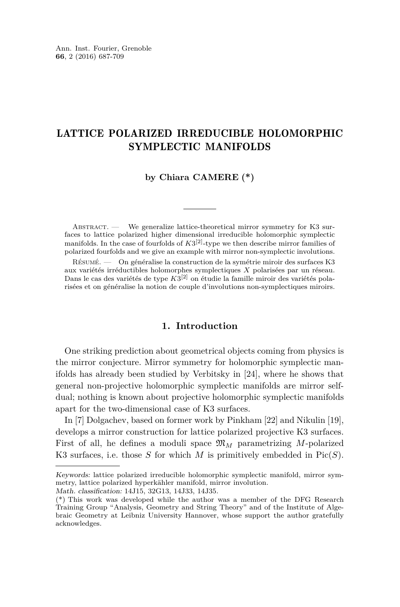## LATTICE POLARIZED IRREDUCIBLE HOLOMORPHIC SYMPLECTIC MANIFOLDS

#### **by Chiara CAMERE (\*)**

ABSTRACT. — We generalize lattice-theoretical mirror symmetry for K3 surfaces to lattice polarized higher dimensional irreducible holomorphic symplectic manifolds. In the case of fourfolds of *K*3 [2]-type we then describe mirror families of polarized fourfolds and we give an example with mirror non-symplectic involutions.

Résumé. — On généralise la construction de la symétrie miroir des surfaces K3 aux variétés irréductibles holomorphes symplectiques *X* polarisées par un réseau. Dans le cas des variétés de type *K*3 [2] on étudie la famille miroir des variétés polarisées et on généralise la notion de couple d'involutions non-symplectiques miroirs.

#### **1. Introduction**

One striking prediction about geometrical objects coming from physics is the mirror conjecture. Mirror symmetry for holomorphic symplectic manifolds has already been studied by Verbitsky in [\[24\]](#page-23-0), where he shows that general non-projective holomorphic symplectic manifolds are mirror selfdual; nothing is known about projective holomorphic symplectic manifolds apart for the two-dimensional case of K3 surfaces.

In [\[7\]](#page-22-0) Dolgachev, based on former work by Pinkham [\[22\]](#page-22-1) and Nikulin [\[19\]](#page-22-2), develops a mirror construction for lattice polarized projective K3 surfaces. First of all, he defines a moduli space  $\mathfrak{M}_M$  parametrizing M-polarized K3 surfaces, i.e. those *S* for which *M* is primitively embedded in  $Pic(S)$ .

Keywords: lattice polarized irreducible holomorphic symplectic manifold, mirror symmetry, lattice polarized hyperkähler manifold, mirror involution.

Math. classification: 14J15, 32G13, 14J33, 14J35.

<sup>(\*)</sup> This work was developed while the author was a member of the DFG Research Training Group "Analysis, Geometry and String Theory" and of the Institute of Algebraic Geometry at Leibniz University Hannover, whose support the author gratefully acknowledges.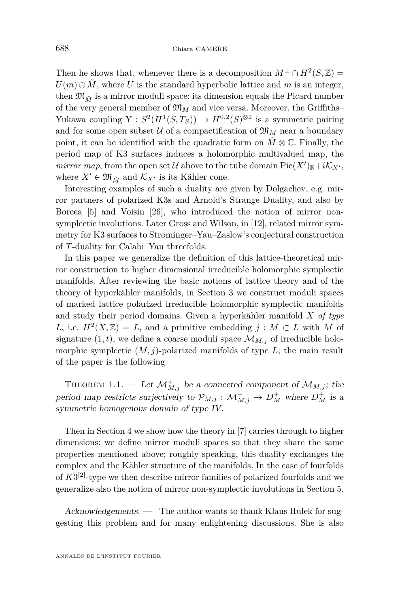Then he shows that, whenever there is a decomposition  $M^{\perp} \cap H^2(S, \mathbb{Z}) =$  $U(m) \oplus M$ , where *U* is the standard hyperbolic lattice and *m* is an integer, then  $\mathfrak{M}_{\check{M}}$  is a mirror moduli space: its dimension equals the Picard number of the very general member of  $\mathfrak{M}_M$  and vice versa. Moreover, the Griffiths– Yukawa coupling  $Y: S^2(H^1(S,T_S)) \to H^{0,2}(S)^{\otimes 2}$  is a symmetric pairing and for some open subset  $U$  of a compactification of  $\mathfrak{M}_M$  near a boundary point, it can be identified with the quadratic form on  $\dot{M}$ <sup>⊗</sup>  $\mathbb{C}$ . Finally, the period map of K3 surfaces induces a holomorphic multivalued map, the *mirror map*, from the open set U above to the tube domain  $Pic(X')_{\mathbb{R}}+i\mathcal{K}_{X'}$ , where  $X' \in \mathfrak{M}_{\tilde{M}}$  and  $\mathcal{K}_{X'}$  is its Kähler cone.

Interesting examples of such a duality are given by Dolgachev, e.g. mirror partners of polarized K3s and Arnold's Strange Duality, and also by Borcea [\[5\]](#page-22-3) and Voisin [\[26\]](#page-23-1), who introduced the notion of mirror nonsymplectic involutions. Later Gross and Wilson, in [\[12\]](#page-22-4), related mirror symmetry for K3 surfaces to Strominger–Yau–Zaslow's conjectural construction of *T*-duality for Calabi–Yau threefolds.

In this paper we generalize the definition of this lattice-theoretical mirror construction to higher dimensional irreducible holomorphic symplectic manifolds. After reviewing the basic notions of lattice theory and of the theory of hyperkähler manifolds, in Section [3](#page-7-0) we construct moduli spaces of marked lattice polarized irreducible holomorphic symplectic manifolds and study their period domains. Given a hyperkähler manifold *X of type L*, i.e.  $H^2(X, \mathbb{Z}) = L$ , and a primitive embedding *j* :  $M \subset L$  with M of signature  $(1, t)$ , we define a coarse moduli space  $\mathcal{M}_{M,i}$  of irreducible holomorphic symplectic  $(M, j)$ -polarized manifolds of type  $L$ ; the main result of the paper is the following

THEOREM 1.1. — Let  $\mathcal{M}^+_{M,j}$  be a connected component of  $\mathcal{M}_{M,j}$ ; the period map restricts surjectively to  $\mathcal{P}_{M,j} : \mathcal{M}_{M,j}^+ \to D_M^+$  where  $D_M^+$  is a symmetric homogenous domain of type IV.

Then in Section [4](#page-11-0) we show how the theory in [\[7\]](#page-22-0) carries through to higher dimensions: we define mirror moduli spaces so that they share the same properties mentioned above; roughly speaking, this duality exchanges the complex and the Kähler structure of the manifolds. In the case of fourfolds of *K*3 [2]-type we then describe mirror families of polarized fourfolds and we generalize also the notion of mirror non-symplectic involutions in Section [5.](#page-14-0)

Acknowledgements. — The author wants to thank Klaus Hulek for suggesting this problem and for many enlightening discussions. She is also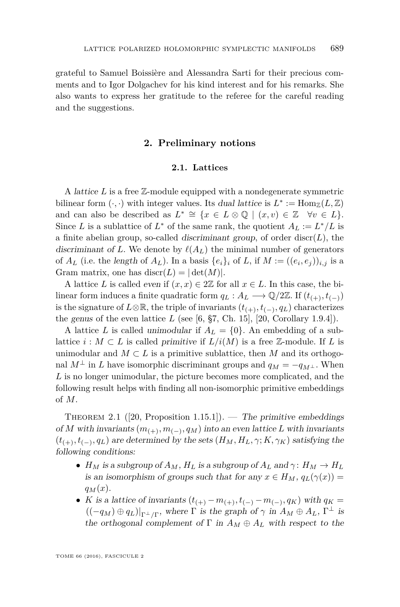grateful to Samuel Boissière and Alessandra Sarti for their precious comments and to Igor Dolgachev for his kind interest and for his remarks. She also wants to express her gratitude to the referee for the careful reading and the suggestions.

#### **2. Preliminary notions**

#### **2.1. Lattices**

A lattice *L* is a free Z-module equipped with a nondegenerate symmetric bilinear form  $(·, ·)$  with integer values. Its dual lattice is  $L^* := \text{Hom}_{\mathbb{Z}}(L, \mathbb{Z})$ and can also be described as  $L^* \cong \{x \in L \otimes \mathbb{Q} \mid (x, v) \in \mathbb{Z} \quad \forall v \in L\}.$ Since *L* is a sublattice of  $L^*$  of the same rank, the quotient  $A_L := L^*/L$  is a finite abelian group, so-called discriminant group, of order  $\text{disc}(L)$ , the discriminant of L. We denote by  $\ell(A_L)$  the minimal number of generators of  $A_L$  (i.e. the length of  $A_L$ ). In a basis  $\{e_i\}_i$  of  $L$ , if  $M := ((e_i, e_j))_{i,j}$  is a Gram matrix, one has  $\text{discr}(L) = |\det(M)|$ .

A lattice *L* is called even if  $(x, x) \in 2\mathbb{Z}$  for all  $x \in L$ . In this case, the bilinear form induces a finite quadratic form  $q_L : A_L \longrightarrow \mathbb{Q}/2\mathbb{Z}$ . If  $(t_{(+)}, t_{(-)})$ is the signature of  $L \otimes \mathbb{R}$ , the triple of invariants  $(t_{(+)}, t_{(-)}, q_L)$  characterizes the genus of the even lattice  $L$  (see [\[6,](#page-22-5) §7, Ch. 15], [\[20,](#page-22-6) Corollary 1.9.4]).

A lattice *L* is called unimodular if  $A_L = \{0\}$ . An embedding of a sublattice *i* : *M* ⊂ *L* is called primitive if  $L/i(M)$  is a free Z-module. If *L* is unimodular and  $M \subset L$  is a primitive sublattice, then M and its orthogonal  $M^{\perp}$  in *L* have isomorphic discriminant groups and  $q_M = -q_{M^{\perp}}$ . When *L* is no longer unimodular, the picture becomes more complicated, and the following result helps with finding all non-isomorphic primitive embeddings of *M*.

<span id="page-3-0"></span>THEOREM 2.1 ([\[20,](#page-22-6) Proposition 1.15.1]). — The primitive embeddings of *M* with invariants  $(m_{(+)}, m_{(-)}, q_M)$  into an even lattice *L* with invariants  $(t_{(+)}, t_{(-)}, q_L)$  are determined by the sets  $(H_M, H_L, \gamma; K, \gamma_K)$  satisfying the following conditions:

- $H_M$  is a subgroup of  $A_M$ ,  $H_L$  is a subgroup of  $A_L$  and  $\gamma: H_M \to H_L$ is an isomorphism of groups such that for any  $x \in H_M$ ,  $q_L(\gamma(x)) =$  $q_M(x)$ .
- *K* is a lattice of invariants  $(t_{(+)}-m_{(+)}, t_{(-)}-m_{(-)}, q_K)$  with  $q_K =$  $((-q_M) \oplus q_L)|_{\Gamma^{\perp}/\Gamma}$ , where  $\Gamma$  is the graph of  $\gamma$  in  $A_M \oplus A_L$ ,  $\Gamma^{\perp}$  is the orthogonal complement of  $\Gamma$  in  $A_M \oplus A_L$  with respect to the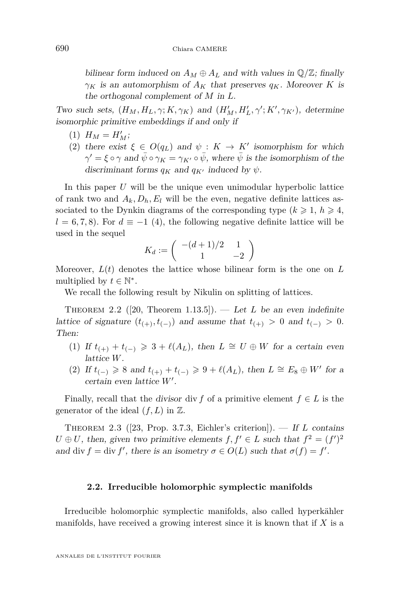bilinear form induced on  $A_M \oplus A_L$  and with values in  $\mathbb{Q}/\mathbb{Z}$ ; finally *γ*<sup>*K*</sup> is an automorphism of  $A_K$  that preserves  $q_K$ . Moreover *K* is the orthogonal complement of *M* in *L*.

Two such sets,  $(H_M, H_L, \gamma; K, \gamma_K)$  and  $(H'_M, H'_L, \gamma'; K', \gamma_{K'})$ , determine isomorphic primitive embeddings if and only if

- $(1)$   $H_M = H'_M;$
- (2) there exist  $\xi \in O(q_L)$  and  $\psi : K \to K'$  isomorphism for which  $\gamma' = \xi \circ \gamma$  and  $\bar{\psi} \circ \gamma_K = \gamma_{K'} \circ \bar{\psi}$ , where  $\bar{\psi}$  is the isomorphism of the discriminant forms  $q_K$  and  $q_{K'}$  induced by  $\psi$ .

In this paper *U* will be the unique even unimodular hyperbolic lattice of rank two and  $A_k$ ,  $D_h$ ,  $E_l$  will be the even, negative definite lattices associated to the Dynkin diagrams of the corresponding type  $(k \geq 1, h \geq 4,$  $l = 6, 7, 8$ . For  $d \equiv -1$  (4), the following negative definite lattice will be used in the sequel

$$
K_d:=\left(\begin{array}{cc}-(d+1)/2&1\\1&-2\end{array}\right)
$$

Moreover,  $L(t)$  denotes the lattice whose bilinear form is the one on  $L$ multiplied by  $t \in \mathbb{N}^*$ .

We recall the following result by Nikulin on splitting of lattices.

<span id="page-4-1"></span>THEOREM 2.2 ([\[20,](#page-22-6) Theorem 1.13.5]). — Let L be an even indefinite lattice of signature  $(t_{(+)}, t_{(-)})$  and assume that  $t_{(+)} > 0$  and  $t_{(-)} > 0$ . Then:

- (1) If  $t_{(+)} + t_{(-)} \geq 3 + \ell(A_L)$ , then  $L \cong U \oplus W$  for a certain even lattice *W*.
- (2) If  $t_{(-)} \ge 8$  and  $t_{(+)} + t_{(-)} \ge 9 + \ell(A_L)$ , then  $L \cong E_8 \oplus W'$  for a  $certain$  even lattice  $W'$ .

Finally, recall that the divisor div *f* of a primitive element  $f \in L$  is the generator of the ideal  $(f, L)$  in  $\mathbb{Z}$ .

<span id="page-4-0"></span>THEOREM 2.3 ([\[23,](#page-22-7) Prop. 3.7.3, Eichler's criterion]). — If *L* contains  $U \oplus U$ , then, given two primitive elements  $f, f' \in L$  such that  $f^2 = (f')^2$ and div  $f = \text{div } f'$ , there is an isometry  $\sigma \in O(L)$  such that  $\sigma(f) = f'$ .

#### **2.2. Irreducible holomorphic symplectic manifolds**

Irreducible holomorphic symplectic manifolds, also called hyperkähler manifolds, have received a growing interest since it is known that if *X* is a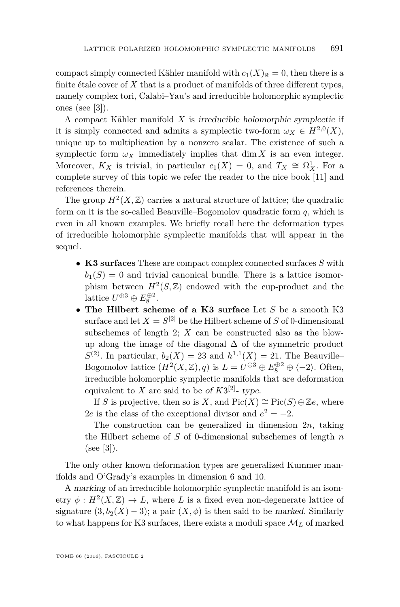compact simply connected Kähler manifold with  $c_1(X)_{\mathbb{R}} = 0$ , then there is a finite étale cover of  $X$  that is a product of manifolds of three different types, namely complex tori, Calabi–Yau's and irreducible holomorphic symplectic ones (see [\[3\]](#page-21-0)).

A compact Kähler manifold *X* is irreducible holomorphic symplectic if it is simply connected and admits a symplectic two-form  $\omega_X \in H^{2,0}(X)$ , unique up to multiplication by a nonzero scalar. The existence of such a symplectic form  $\omega_X$  immediately implies that dim X is an even integer. Moreover,  $K_X$  is trivial, in particular  $c_1(X) = 0$ , and  $T_X \cong \Omega^1_X$ . For a complete survey of this topic we refer the reader to the nice book [\[11\]](#page-22-8) and references therein.

The group  $H^2(X,\mathbb{Z})$  carries a natural structure of lattice; the quadratic form on it is the so-called Beauville–Bogomolov quadratic form *q*, which is even in all known examples. We briefly recall here the deformation types of irreducible holomorphic symplectic manifolds that will appear in the sequel.

- **K3 surfaces** These are compact complex connected surfaces *S* with  $b_1(S) = 0$  and trivial canonical bundle. There is a lattice isomorphism between  $H^2(S, \mathbb{Z})$  endowed with the cup-product and the lattice  $U^{\oplus 3} \oplus E_8^{\oplus 2}$ .
- **The Hilbert scheme of a K3 surface** Let *S* be a smooth K3 surface and let  $X = S^{[2]}$  be the Hilbert scheme of *S* of 0-dimensional subschemes of length 2; *X* can be constructed also as the blowup along the image of the diagonal  $\Delta$  of the symmetric product *S*<sup>(2)</sup>. In particular,  $b_2(X) = 23$  and  $h^{1,1}(X) = 21$ . The Beauville– Bogomolov lattice  $(H^2(X, \mathbb{Z}), q)$  is  $L = U^{\oplus 3} \oplus E_8^{\oplus 2} \oplus \langle -2 \rangle$ . Often, irreducible holomorphic symplectic manifolds that are deformation equivalent to  $X$  are said to be of  $K3^{[2]}$ - type.

If *S* is projective, then so is *X*, and  $Pic(X) \cong Pic(S) \oplus \mathbb{Z}e$ , where 2*e* is the class of the exceptional divisor and  $e^2 = -2$ .

The construction can be generalized in dimension 2*n*, taking the Hilbert scheme of *S* of 0-dimensional subschemes of length *n* (see [\[3\]](#page-21-0)).

The only other known deformation types are generalized Kummer manifolds and O'Grady's examples in dimension 6 and 10.

A marking of an irreducible holomorphic symplectic manifold is an isometry  $\phi: H^2(X, \mathbb{Z}) \to L$ , where *L* is a fixed even non-degenerate lattice of signature  $(3, b_2(X) - 3)$ ; a pair  $(X, \phi)$  is then said to be marked. Similarly to what happens for K3 surfaces, there exists a moduli space M*<sup>L</sup>* of marked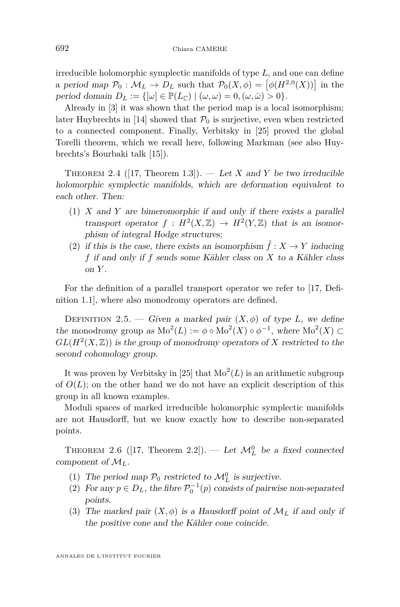irreducible holomorphic symplectic manifolds of type *L*, and one can define a period map  $\mathcal{P}_0: \mathcal{M}_L \to D_L$  such that  $\mathcal{P}_0(X, \phi) = [\phi(H^{2,0}(X))]$  in the period domain  $D_L := \{ [\omega] \in \mathbb{P}(L_{\mathbb{C}}) \mid (\omega, \omega) = 0, (\omega, \bar{\omega}) > 0 \}.$ 

Already in [\[3\]](#page-21-0) it was shown that the period map is a local isomorphism; later Huybrechts in [\[14\]](#page-22-9) showed that  $\mathcal{P}_0$  is surjective, even when restricted to a connected component. Finally, Verbitsky in [\[25\]](#page-23-2) proved the global Torelli theorem, which we recall here, following Markman (see also Huybrechts's Bourbaki talk [\[15\]](#page-22-10)).

THEOREM 2.4 ([\[17,](#page-22-11) Theorem 1.3]). — Let *X* and *Y* be two irreducible holomorphic symplectic manifolds, which are deformation equivalent to each other. Then:

- (1) *X* and *Y* are bimeromorphic if and only if there exists a parallel transport operator  $f : H^2(X, \mathbb{Z}) \to H^2(Y, \mathbb{Z})$  that is an isomorphism of integral Hodge structures;
- (2) if this is the case, there exists an isomorphism  $\tilde{f}: X \to Y$  inducing *f* if and only if *f* sends some Kähler class on *X* to a Kähler class on *Y* .

For the definition of a parallel transport operator we refer to [\[17,](#page-22-11) Definition 1.1], where also monodromy operators are defined.

DEFINITION 2.5. — Given a marked pair  $(X, \phi)$  of type *L*, we define the monodromy group as  $\text{Mo}^2(L) := \phi \circ \text{Mo}^2(X) \circ \phi^{-1}$ , where  $\text{Mo}^2(X) \subset$  $GL(H^2(X,\mathbb{Z}))$  is the group of monodromy operators of X restricted to the second cohomology group.

It was proven by Verbitsky in [\[25\]](#page-23-2) that  $\text{Mo}^2(L)$  is an arithmetic subgroup of  $O(L)$ ; on the other hand we do not have an explicit description of this group in all known examples.

Moduli spaces of marked irreducible holomorphic symplectic manifolds are not Hausdorff, but we know exactly how to describe non-separated points.

<span id="page-6-0"></span>THEOREM 2.6 ([\[17,](#page-22-11) Theorem 2.2]). — Let  $\mathcal{M}_L^0$  be a fixed connected component of  $\mathcal{M}_L$ .

- (1) The period map  $\mathcal{P}_0$  restricted to  $\mathcal{M}_L^0$  is surjective.
- (2) For any  $p \in D_L$ , the fibre  $\mathcal{P}_0^{-1}(p)$  consists of pairwise non-separated points.
- (3) The marked pair  $(X, \phi)$  is a Hausdorff point of  $\mathcal{M}_L$  if and only if the positive cone and the Kähler cone coincide.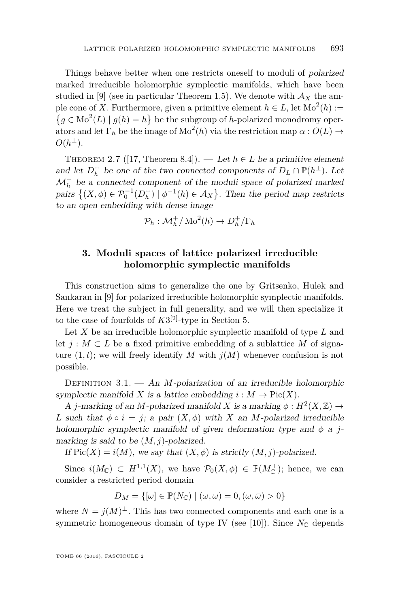Things behave better when one restricts oneself to moduli of polarized marked irreducible holomorphic symplectic manifolds, which have been studied in [\[9\]](#page-22-12) (see in particular Theorem 1.5). We denote with  $A_X$  the ample cone of *X*. Furthermore, given a primitive element  $h \in L$ , let  $\text{Mo}^2(h) :=$  ${g \in \text{Mo}^2(L) \mid g(h) = h}$  be the subgroup of *h*-polarized monodromy operators and let  $\Gamma_h$  be the image of  $\text{Mo}^2(h)$  via the restriction map  $\alpha: O(L) \to$  $O(h^{\perp}).$ 

THEOREM 2.7 ([\[17,](#page-22-11) Theorem 8.4]). — Let  $h \in L$  be a primitive element and let  $D_h^+$  be one of the two connected components of  $D_L \cap \mathbb{P}(h^{\perp})$ . Let  $\mathcal{M}_h^+$  be a connected component of the moduli space of polarized marked pairs  $\{(X, \phi) \in \mathcal{P}_0^{-1}(D_h^+) \mid \phi^{-1}(h) \in \mathcal{A}_X\}$ . Then the period map restricts to an open embedding with dense image

$$
\mathcal{P}_h : \mathcal{M}_h^+ / \operatorname{Mo}^2(h) \to D_h^+ / \Gamma_h
$$

### <span id="page-7-0"></span>**3. Moduli spaces of lattice polarized irreducible holomorphic symplectic manifolds**

This construction aims to generalize the one by Gritsenko, Hulek and Sankaran in [\[9\]](#page-22-12) for polarized irreducible holomorphic symplectic manifolds. Here we treat the subject in full generality, and we will then specialize it to the case of fourfolds of *K*3 [2]-type in Section [5.](#page-14-0)

Let *X* be an irreducible holomorphic symplectic manifold of type *L* and let  $j : M \subset L$  be a fixed primitive embedding of a sublattice M of signature  $(1, t)$ ; we will freely identify M with  $j(M)$  whenever confusion is not possible.

<span id="page-7-1"></span>DEFINITION 3.1. — An *M*-polarization of an irreducible holomorphic symplectic manifold *X* is a lattice embedding  $i : M \to Pic(X)$ .

A *j*-marking of an *M*-polarized manifold *X* is a marking  $\phi : H^2(X, \mathbb{Z}) \to$ *L* such that  $\phi \circ i = j$ ; a pair  $(X, \phi)$  with *X* an *M*-polarized irreducible holomorphic symplectic manifold of given deformation type and *φ* a *j*marking is said to be (*M, j*)-polarized.

If  $Pic(X) = i(M)$ , we say that  $(X, \phi)$  is strictly  $(M, j)$ -polarized.

Since  $i(M_{\mathbb{C}}) \subset H^{1,1}(X)$ , we have  $\mathcal{P}_0(X,\phi) \in \mathbb{P}(M_{\mathbb{C}}^{\perp})$ ; hence, we can consider a restricted period domain

$$
D_M = \{ [\omega] \in \mathbb{P}(N_{\mathbb{C}}) \mid (\omega, \omega) = 0, (\omega, \bar{\omega}) > 0 \}
$$

where  $N = j(M)^{\perp}$ . This has two connected components and each one is a symmetric homogeneous domain of type IV (see [\[10\]](#page-22-13)). Since  $N_{\mathbb{C}}$  depends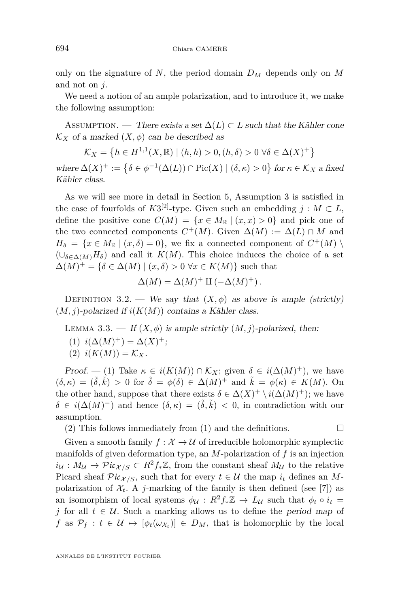only on the signature of *N*, the period domain *D<sup>M</sup>* depends only on *M* and not on *j*.

We need a notion of an ample polarization, and to introduce it, we make the following assumption:

ASSUMPTION. — There exists a set  $\Delta(L) \subset L$  such that the Kähler cone  $\mathcal{K}_X$  of a marked  $(X, \phi)$  can be described as

$$
\mathcal{K}_X = \left\{ h \in H^{1,1}(X, \mathbb{R}) \mid (h, h) > 0, (h, \delta) > 0 \,\forall \delta \in \Delta(X)^+ \right\}
$$
  
re  $\Delta(X)^+ := \left\{ \delta \in \phi^{-1}(\Delta(L)) \cap \text{Pic}(X) \mid (\delta, \kappa) > 0 \right\}$  for  $\kappa \in \mathcal{K}_X$  a fi

whe  $+ := \{$  $\delta \in \phi^{-1}(\Delta(L)) \cap \text{Pic}(X) \mid (\delta, \kappa) > 0$  for  $\kappa \in \mathcal{K}_X$  a fixed Kähler class.

As we will see more in detail in Section [5,](#page-14-0) Assumption [3](#page-7-1) is satisfied in the case of fourfolds of  $K3^{[2]}$ -type. Given such an embedding  $j : M \subset L$ , define the positive cone  $C(M) = \{x \in M_{\mathbb{R}} \mid (x, x) > 0\}$  and pick one of the two connected components  $C^+(M)$ . Given  $\Delta(M) := \Delta(L) \cap M$  and  $H_{\delta} = \{x \in M_{\mathbb{R}} \mid (x, \delta) = 0\},\$  we fix a connected component of  $C^+(M) \setminus$ (∪*δ*∈∆(*M*)*Hδ*) and call it *K*(*M*). This choice induces the choice of a set  $\Delta(M)^{+} = {\delta \in \Delta(M) | (x, \delta) > 0 \,\forall x \in K(M)}$  such that

$$
\Delta(M) = \Delta(M)^{+} \amalg (-\Delta(M)^{+}).
$$

DEFINITION 3.2. — We say that  $(X, \phi)$  as above is ample (strictly)  $(M, j)$ -polarized if  $i(K(M))$  contains a Kähler class.

<span id="page-8-0"></span>LEMMA 3.3. – If 
$$
(X, \phi)
$$
 is ample strictly  $(M, j)$ -polarized, then:

(1) *i*(∆(*M*) <sup>+</sup>) = ∆(*X*) +;

$$
(2) i(K(M)) = \mathcal{K}_X.
$$

Proof. — (1) Take  $\kappa \in i(K(M)) \cap \mathcal{K}_X$ ; given  $\delta \in i(\Delta(M)^+)$ , we have  $(\delta, \kappa) = (\tilde{\delta}, \tilde{k}) > 0$  for  $\tilde{\delta} = \phi(\delta) \in \Delta(M)^+$  and  $\tilde{k} = \phi(\kappa) \in K(M)$ . On the other hand, suppose that there exists  $\delta \in \Delta(X)^+ \setminus i(\Delta(M)^+)$ ; we have  $\delta \in i(\Delta(M)^-)$  and hence  $(\delta, \kappa) = (\tilde{\delta}, \tilde{k}) < 0$ , in contradiction with our assumption.

(2) This follows immediately from (1) and the definitions.  $\Box$ 

Given a smooth family  $f : \mathcal{X} \to \mathcal{U}$  of irreducible holomorphic symplectic manifolds of given deformation type, an *M*-polarization of *f* is an injection  $i_{\mathcal{U}}: M_{\mathcal{U}} \to \mathcal{P}ic_{\mathcal{X}/S} \subset R^2f_*\mathbb{Z}$ , from the constant sheaf  $M_{\mathcal{U}}$  to the relative Picard sheaf  $\mathcal{P}ic_{\mathcal{X}/S}$ , such that for every  $t \in \mathcal{U}$  the map  $i_t$  defines an *M*polarization of  $\mathcal{X}_t$ . A *j*-marking of the family is then defined (see [\[7\]](#page-22-0)) as an isomorphism of local systems  $\phi_{\mathcal{U}} : R^2 f_* \mathbb{Z} \to L_{\mathcal{U}}$  such that  $\phi_t \circ i_t =$ *j* for all  $t \in U$ . Such a marking allows us to define the period map of *f* as  $\mathcal{P}_f$  :  $t \in \mathcal{U} \mapsto [\phi_t(\omega_{\mathcal{X}_t})] \in D_M$ , that is holomorphic by the local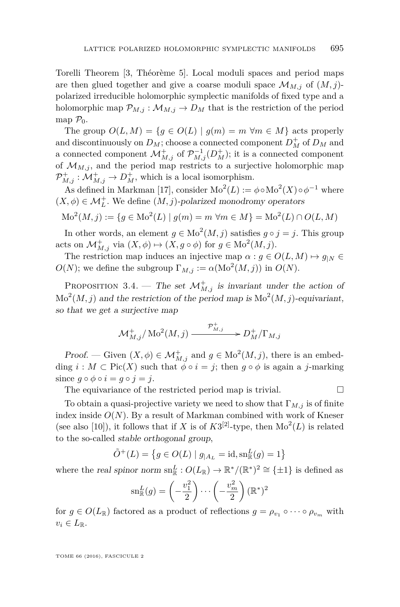Torelli Theorem [\[3,](#page-21-0) Théorème 5]. Local moduli spaces and period maps are then glued together and give a coarse moduli space  $\mathcal{M}_{M,j}$  of  $(M, j)$ polarized irreducible holomorphic symplectic manifolds of fixed type and a holomorphic map  $\mathcal{P}_{M,j} : \mathcal{M}_{M,j} \to \mathcal{D}_M$  that is the restriction of the period map  $\mathcal{P}_0$ .

The group  $O(L, M) = \{g \in O(L) \mid g(m) = m \,\forall m \in M\}$  acts properly and discontinuously on  $D_M$ ; choose a connected component  $D_M^+$  of  $D_M$  and a connected component  $\mathcal{M}_{M,j}^+$  of  $\mathcal{P}_{M,j}^{-1}(D_M^+)$ ; it is a connected component of  $\mathcal{M}_{M,j}$ , and the period map restricts to a surjective holomorphic map  $\mathcal{P}_{M,j}^+ : \mathcal{M}_{M,j}^+ \to D_M^+$ , which is a local isomorphism.

As defined in Markman [\[17\]](#page-22-11), consider  $\text{Mo}^2(L) := \phi \circ \text{Mo}^2(X) \circ \phi^{-1}$  where  $(X, \phi) \in \mathcal{M}_L^+$ . We define  $(M, j)$ -polarized monodromy operators

$$
\text{Mo}^2(M, j) := \{ g \in \text{Mo}^2(L) \mid g(m) = m \,\,\forall m \in M \} = \text{Mo}^2(L) \cap O(L, M)
$$

In other words, an element  $g \in Mo^2(M, j)$  satisfies  $g \circ j = j$ . This group acts on  $\mathcal{M}_{M,j}^+$  via  $(X, \phi) \mapsto (X, g \circ \phi)$  for  $g \in \text{Mo}^2(M, j)$ .

The restriction map induces an injective map  $\alpha : g \in O(L, M) \mapsto g_{\vert N} \in$  $O(N)$ ; we define the subgroup  $\Gamma_{M,j} := \alpha(\text{Mo}^2(M,j))$  in  $O(N)$ .

<span id="page-9-0"></span>PROPOSITION 3.4. — The set  $\mathcal{M}^+_{M,j}$  is invariant under the action of  $\text{Mo}^2(M, j)$  and the restriction of the period map is  $\text{Mo}^2(M, j)$ -equivariant, so that we get a surjective map

$$
\mathcal{M}_{M,j}^+ / \operatorname{Mo}^2(M,j) \xrightarrow{\mathcal{P}_{M,j}^+} D_M^+ / \Gamma_{M,j}
$$

Proof. — Given  $(X, \phi) \in \mathcal{M}_{M,j}^+$  and  $g \in \text{Mo}^2(M, j)$ , there is an embedding  $i : M \subset \text{Pic}(X)$  such that  $\phi \circ i = j$ ; then  $g \circ \phi$  is again a *j*-marking since  $g \circ \phi \circ i = g \circ j = j$ .

The equivariance of the restricted period map is trivial.  $\Box$ 

To obtain a quasi-projective variety we need to show that  $\Gamma_{M,j}$  is of finite index inside  $O(N)$ . By a result of Markman combined with work of Kneser (see also [\[10\]](#page-22-13)), it follows that if *X* is of  $K3^{[2]}$ -type, then  $\text{Mo}^2(L)$  is related to the so-called stable orthogonal group,

$$
\tilde{O}^+(L) = \left\{ g \in O(L) \mid g_{|A_L} = \text{id}, \text{sn}_\mathbb{R}^L(g) = 1 \right\}
$$

where the real spinor norm  $\text{sn}_{\mathbb{R}}^L: O(L_{\mathbb{R}}) \to \mathbb{R}^*/(\mathbb{R}^*)^2 \cong {\pm 1}$  is defined as

$$
\mathrm{sn}_{\mathbb{R}}^{L}(g) = \left(-\frac{v_1^2}{2}\right) \cdots \left(-\frac{v_m^2}{2}\right) (\mathbb{R}^*)^2
$$

for  $g \in O(L_{\mathbb{R}})$  factored as a product of reflections  $g = \rho_{v_1} \circ \cdots \circ \rho_{v_m}$  with  $v_i \in L_{\mathbb{R}}$ .

TOME 66 (2016), FASCICULE 2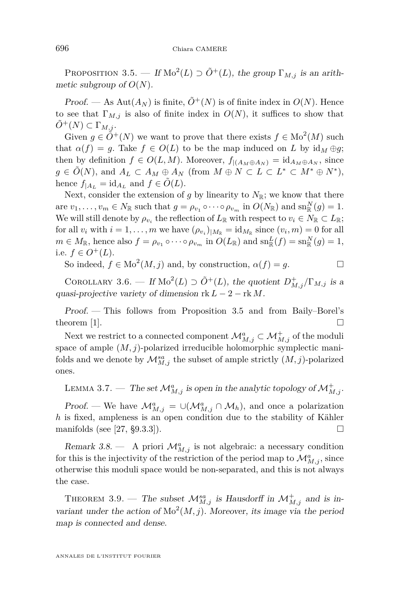<span id="page-10-0"></span>PROPOSITION 3.5. — If  $\text{Mo}^2(L) \supset \tilde{O}^+(L)$ , the group  $\Gamma_{M,j}$  is an arithmetic subgroup of  $O(N)$ .

Proof. — As  $Aut(A_N)$  is finite,  $\tilde{O}^+(N)$  is of finite index in  $O(N)$ . Hence to see that  $\Gamma_{M,j}$  is also of finite index in  $O(N)$ , it suffices to show that  $\tilde{O}^+(N) \subset \Gamma_{M,j}.$ 

Given  $g \in \tilde{O}^+(N)$  we want to prove that there exists  $f \in Mo^2(M)$  such that  $\alpha(f) = g$ . Take  $f \in O(L)$  to be the map induced on *L* by id<sub>M</sub> ⊕*g*; then by definition  $f \in O(L, M)$ . Moreover,  $f_{|(A_M \oplus A_N)} = id_{A_M \oplus A_N}$ , since  $g \in \tilde{O}(N)$ , and  $A_L \subset A_M \oplus A_N$  (from  $M \oplus N \subset L \subset L^* \subset M^* \oplus N^*$ ), hence  $f_{|A_L} = id_{A_L}$  and  $f \in \tilde{O}(L)$ .

Next, consider the extension of  $g$  by linearity to  $N_{\mathbb{R}}$ ; we know that there  $\alpha$  are  $v_1, \ldots, v_m \in N_{\mathbb{R}}$  such that  $g = \rho_{v_1} \circ \cdots \circ \rho_{v_m}$  in  $O(N_{\mathbb{R}})$  and  $\text{sn}_{\mathbb{R}}^N(g) = 1$ . We will still denote by  $\rho_{v_i}$  the reflection of  $L_{\mathbb{R}}$  with respect to  $v_i \in N_{\mathbb{R}} \subset L_{\mathbb{R}}$ ; for all  $v_i$  with  $i = 1, ..., m$  we have  $(\rho_{v_i})_{|M_{\mathbb{R}}} = id_{M_{\mathbb{R}}}$  since  $(v_i, m) = 0$  for all  $m \in M_{\mathbb{R}}$ , hence also  $f = \rho_{v_1} \circ \cdots \circ \rho_{v_m}$  in  $O(L_{\mathbb{R}})$  and  $\text{sn}_{\mathbb{R}}^L(f) = \text{sn}_{\mathbb{R}}^N(g) = 1$ , *i.e. f* ∈  $O$ <sup>+</sup>(*L*).

So indeed,  $f \in Mo^2(M, j)$  and, by construction,  $\alpha(f) = g$ .

COROLLARY 3.6. — If  $\text{Mo}^2(L) \supset \tilde{O}^+(L)$ , the quotient  $D^+_{M,j}/\Gamma_{M,j}$  is a quasi-projective variety of dimension  $rk L - 2 - rk M$ .

Proof. — This follows from Proposition [3.5](#page-10-0) and from Baily–Borel's theorem [\[1\]](#page-21-1).  $\Box$ 

Next we restrict to a connected component  $\mathcal{M}_{M,j}^a \subset \mathcal{M}_{M,j}^+$  of the moduli space of ample  $(M, j)$ -polarized irreducible holomorphic symplectic manifolds and we denote by  $\mathcal{M}_{M,j}^{sa}$  the subset of ample strictly  $(M, j)$ -polarized ones.

LEMMA 3.7. — The set  $\mathcal{M}_{M,j}^a$  is open in the analytic topology of  $\mathcal{M}_{M,j}^+$ .

Proof. — We have  $\mathcal{M}_{M,j}^a = \bigcup (\mathcal{M}_{M,j}^a \cap \mathcal{M}_h)$ , and once a polarization *h* is fixed, ampleness is an open condition due to the stability of Kähler manifolds (see [\[27,](#page-23-3)  $\S$ 9.3.3]).

Remark 3.8.  $-$  A priori  $\mathcal{M}_{M,j}^a$  is not algebraic: a necessary condition for this is the injectivity of the restriction of the period map to  $\mathcal{M}_{M,j}^a$ , since otherwise this moduli space would be non-separated, and this is not always the case.

<span id="page-10-1"></span>THEOREM 3.9. — The subset  $\mathcal{M}_{M,j}^{sa}$  is Hausdorff in  $\mathcal{M}_{M,j}^{+}$  and is invariant under the action of  $\text{Mo}^2(M, j)$ . Moreover, its image via the period map is connected and dense.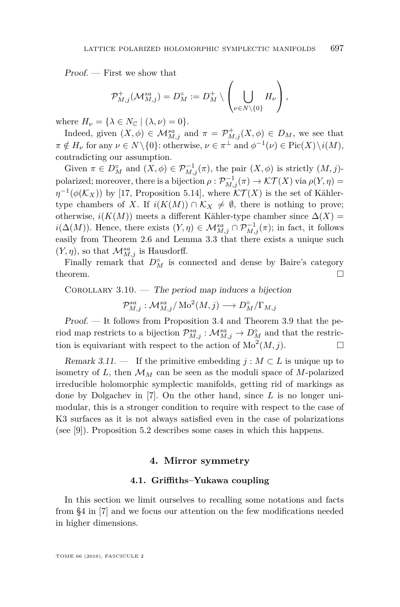Proof. — First we show that

$$
\mathcal{P}_{M,j}^+(\mathcal{M}_{M,j}^{sa})=D_M^\circ:=D_M^+\setminus\left(\bigcup_{\nu\in N\setminus\{0\}}H_\nu\right),\,
$$

where  $H_{\nu} = {\lambda \in N_{\mathbb{C}} \mid (\lambda, \nu) = 0}.$ 

Indeed, given  $(X, \phi) \in M^{sa}_{M,j}$  and  $\pi = \mathcal{P}^+_{M,j}(X, \phi) \in D_M$ , we see that  $\pi \notin H_{\nu}$  for any  $\nu \in N \setminus \{0\}$ : otherwise,  $\nu \in \pi^{\perp}$  and  $\phi^{-1}(\nu) \in \text{Pic}(X) \setminus i(M)$ , contradicting our assumption.

Given  $\pi \in D^{\circ}_M$  and  $(X, \phi) \in \mathcal{P}^{-1}_{M,j}(\pi)$ , the pair  $(X, \phi)$  is strictly  $(M, j)$ polarized; moreover, there is a bijection  $\rho : \mathcal{P}_{M,j}^{-1}(\pi) \to \mathcal{KT}(X)$  via  $\rho(Y,\eta) =$  $\eta^{-1}(\phi(\mathcal{K}_X))$  by [\[17,](#page-22-11) Proposition 5.14], where  $\mathcal{K}\mathcal{T}(X)$  is the set of Kählertype chambers of *X*. If  $i(K(M)) \cap K_X \neq \emptyset$ , there is nothing to prove; otherwise,  $i(K(M))$  meets a different Kähler-type chamber since  $\Delta(X)$  =  $i(\Delta(M))$ . Hence, there exists  $(Y, \eta) \in \mathcal{M}_{M,j}^{sa} \cap \mathcal{P}_{M,j}^{-1}(\pi)$ ; in fact, it follows easily from Theorem [2.6](#page-6-0) and Lemma [3.3](#page-8-0) that there exists a unique such  $(Y, \eta)$ , so that  $\mathcal{M}_{M,j}^{sa}$  is Hausdorff.

Finally remark that  $D_M^{\circ}$  is connected and dense by Baire's category theorem.  $\Box$ 

COROLLARY  $3.10.$  — The period map induces a bijection  $\mathcal{P}_{M,j}^{sa}:\mathcal{M}_{M,j}^{sa}/\operatorname{Mo}^2(M,j) \longrightarrow D_M^{\circ}/\Gamma_{M,j}$ 

Proof. — It follows from Proposition [3.4](#page-9-0) and Theorem [3.9](#page-10-1) that the period map restricts to a bijection  $\mathcal{P}_{M,j}^{sa} : \mathcal{M}_{M,j}^{sa} \to D_M^{\circ}$  and that the restriction is equivariant with respect to the action of  $\text{Mo}^2(M, j)$ .

Remark 3.11. — If the primitive embedding  $j : M \subset L$  is unique up to isometry of  $L$ , then  $\mathcal{M}_M$  can be seen as the moduli space of  $M$ -polarized irreducible holomorphic symplectic manifolds, getting rid of markings as done by Dolgachev in [\[7\]](#page-22-0). On the other hand, since *L* is no longer unimodular, this is a stronger condition to require with respect to the case of K3 surfaces as it is not always satisfied even in the case of polarizations (see [\[9\]](#page-22-12)). Proposition [5.2](#page-15-0) describes some cases in which this happens.

#### **4. Mirror symmetry**

#### **4.1. Griffiths–Yukawa coupling**

<span id="page-11-0"></span>In this section we limit ourselves to recalling some notations and facts from §4 in [\[7\]](#page-22-0) and we focus our attention on the few modifications needed in higher dimensions.

TOME 66 (2016), FASCICULE 2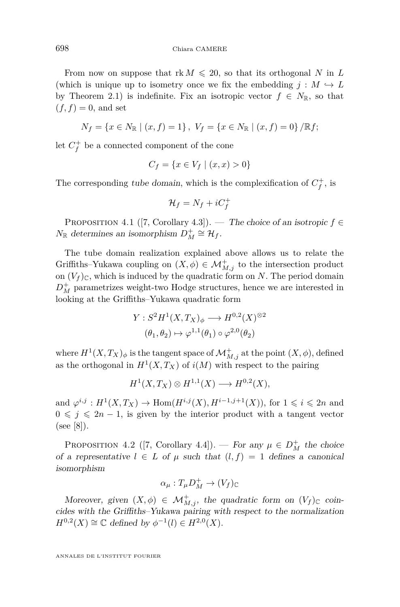From now on suppose that  $rk M \leq 20$ , so that its orthogonal N in L (which is unique up to isometry once we fix the embedding  $j : M \hookrightarrow L$ by Theorem [2.1\)](#page-3-0) is indefinite. Fix an isotropic vector  $f \in N_{\mathbb{R}}$ , so that  $(f, f) = 0$ , and set

$$
N_f = \{x \in N_{\mathbb{R}} \mid (x, f) = 1\}, \ V_f = \{x \in N_{\mathbb{R}} \mid (x, f) = 0\} / \mathbb{R}f;
$$

let  $C_f^+$  be a connected component of the cone

$$
C_f = \{ x \in V_f \mid (x, x) > 0 \}
$$

The corresponding tube domain, which is the complexification of  $C_f^+$ , is

$$
\mathcal{H}_f = N_f + iC_f^+
$$

PROPOSITION 4.1 ([\[7,](#page-22-0) Corollary 4.3]). — The choice of an isotropic  $f \in$  $N_{\mathbb{R}}$  determines an isomorphism  $D_M^+ \cong \mathcal{H}_f$ .

The tube domain realization explained above allows us to relate the Griffiths–Yukawa coupling on  $(X, \phi) \in \mathcal{M}_{M,j}^+$  to the intersection product on  $(V_f)_{\mathbb{C}}$ , which is induced by the quadratic form on *N*. The period domain  $D_M^+$  parametrizes weight-two Hodge structures, hence we are interested in looking at the Griffiths–Yukawa quadratic form

$$
Y: S2H1(X, T_X)_{\phi} \longrightarrow H0,2(X)^{\otimes 2}
$$

$$
(\theta_1, \theta_2) \mapsto \varphi^{1,1}(\theta_1) \circ \varphi^{2,0}(\theta_2)
$$

where  $H^1(X, T_X)_{\phi}$  is the tangent space of  $\mathcal{M}^+_{M,j}$  at the point  $(X, \phi)$ , defined as the orthogonal in  $H^1(X, T_X)$  of  $i(M)$  with respect to the pairing

$$
H^1(X, T_X) \otimes H^{1,1}(X) \longrightarrow H^{0,2}(X),
$$

and  $\varphi^{i,j}: H^1(X, T_X) \to \text{Hom}(H^{i,j}(X), H^{i-1,j+1}(X)),$  for  $1 \leq i \leq 2n$  and  $0 \leq j \leq 2n-1$ , is given by the interior product with a tangent vector (see [\[8\]](#page-22-14)).

<span id="page-12-0"></span>PROPOSITION 4.2 ([\[7,](#page-22-0) Corollary 4.4]). — For any  $\mu \in D_M^+$  the choice of a representative  $l \in L$  of  $\mu$  such that  $(l, f) = 1$  defines a canonical isomorphism

$$
\alpha_{\mu}:T_{\mu}D_M^+\to (V_f)_{\mathbb{C}}
$$

Moreover, given  $(X, \phi) \in \mathcal{M}_{M,j}^+$ , the quadratic form on  $(V_f)_{\mathbb{C}}$  coincides with the Griffiths–Yukawa pairing with respect to the normalization  $H^{0,2}(X) \cong \mathbb{C}$  defined by  $\phi^{-1}(l) \in H^{2,0}(X)$ .

ANNALES DE L'INSTITUT FOURIER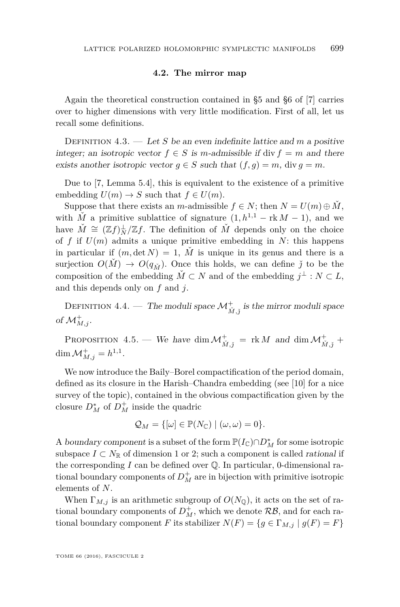#### **4.2. The mirror map**

Again the theoretical construction contained in §5 and §6 of [\[7\]](#page-22-0) carries over to higher dimensions with very little modification. First of all, let us recall some definitions.

DEFINITION 4.3. — Let *S* be an even indefinite lattice and *m* a positive integer; an isotropic vector  $f \in S$  is *m*-admissible if div  $f = m$  and there exists another isotropic vector  $g \in S$  such that  $(f, g) = m$ , div  $g = m$ .

Due to [\[7,](#page-22-0) Lemma 5.4], this is equivalent to the existence of a primitive embedding  $U(m) \to S$  such that  $f \in U(m)$ .

Suppose that there exists an *m*-admissible  $f \in N$ ; then  $N = U(m) \oplus \check{M}$ , with  $\tilde{M}$  a primitive sublattice of signature  $(1, h^{1,1} - \text{rk }M - 1)$ , and we have  $\check{M} \cong (\mathbb{Z}f)_{N}^{\perp}/\mathbb{Z}f$ . The definition of  $\check{M}$  depends only on the choice of  $f$  if  $U(m)$  admits a unique primitive embedding in  $N$ : this happens in particular if  $(m, \det N) = 1$ ,  $\dot{M}$  is unique in its genus and there is a surjection  $O(M) \rightarrow O(q_{\tilde{M}})$ . Once this holds, we can define  $\check{\jmath}$  to be the composition of the embedding  $\check{M} \subset N$  and of the embedding  $j^{\perp} : N \subset L$ , and this depends only on *f* and *j*.

DEFINITION 4.4. — The moduli space  ${\cal M}_{\check M,\check j}^+$  is the mirror moduli space of  $\mathcal{M}_{M,j}^+$ .

PROPOSITION 4.5. — We have dim  $\mathcal{M}^+_{\check{M},\check{\jmath}} = \text{rk } M$  and dim  $\mathcal{M}^+_{\check{M},\check{\jmath}}$  +  $\dim \mathcal{M}_{M,j}^{+} = h^{1,1}.$ 

We now introduce the Baily–Borel compactification of the period domain, defined as its closure in the Harish–Chandra embedding (see [\[10\]](#page-22-13) for a nice survey of the topic), contained in the obvious compactification given by the closure  $D_M^*$  of  $D_M^+$  inside the quadric

$$
\mathcal{Q}_M = \{ [\omega] \in \mathbb{P}(N_{\mathbb{C}}) \mid (\omega, \omega) = 0 \}.
$$

A boundary component is a subset of the form  $\mathbb{P}(I_{\mathbb{C}}) \cap D^*_{M}$  for some isotropic subspace  $I \subset N_{\mathbb{R}}$  of dimension 1 or 2; such a component is called *rational* if the corresponding *I* can be defined over Q. In particular, 0-dimensional rational boundary components of  $D_M^+$  are in bijection with primitive isotropic elements of *N*.

When  $\Gamma_{M,j}$  is an arithmetic subgroup of  $O(N_{\mathbb{Q}})$ , it acts on the set of rational boundary components of  $D_M^+$ , which we denote  $\mathcal{RB}$ , and for each rational boundary component *F* its stabilizer  $N(F) = \{g \in \Gamma_{M,j} \mid g(F) = F\}$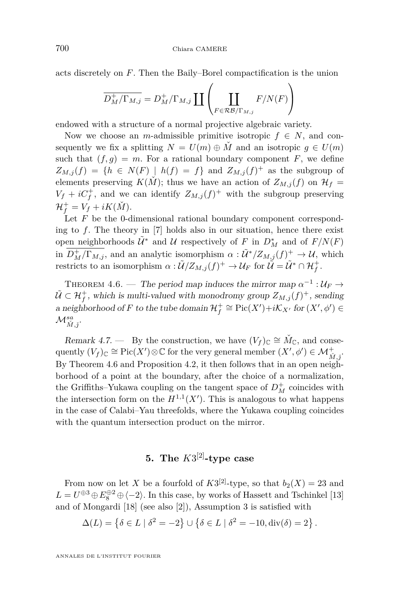acts discretely on *F*. Then the Baily–Borel compactification is the union

$$
\overline{D_M^+/\Gamma_{M,j}} = D_M^+/\Gamma_{M,j} \coprod \left( \coprod_{F \in \mathcal{RB}/\Gamma_{M,j}} F/N(F) \right)
$$

endowed with a structure of a normal projective algebraic variety.

Now we choose an *m*-admissible primitive isotropic  $f \in N$ , and consequently we fix a splitting  $N = U(m) \oplus \tilde{M}$  and an isotropic  $g \in U(m)$ such that  $(f, g) = m$ . For a rational boundary component *F*, we define  $Z_{M,j}(f) = \{h \in N(F) \mid h(f) = f\}$  and  $Z_{M,j}(f)^+$  as the subgroup of elements preserving  $K(\check{M})$ ; thus we have an action of  $Z_{M,i}(f)$  on  $\mathcal{H}_f =$  $V_f + iC_f^+$ , and we can identify  $Z_{M,j}(f)^+$  with the subgroup preserving  $\mathcal{H}_f^+ = V_f + iK(\check{M}).$ 

Let *F* be the 0-dimensional rational boundary component corresponding to *f*. The theory in [\[7\]](#page-22-0) holds also in our situation, hence there exist open neighborhoods  $\tilde{\mathcal{U}}^*$  and  $\mathcal{U}$  respectively of *F* in  $D^*_{M}$  and of  $F/N(F)$ in  $\overline{D_M^+}/\Gamma_{M,j}$ , and an analytic isomorphism  $\alpha: \tilde{U}^*/Z_{M,j}(f)^+$   $\to U$ , which restricts to an isomorphism  $\alpha : \tilde{\mathcal{U}}/Z_{M,j}(f)^+ \to \mathcal{U}_F$  for  $\tilde{\mathcal{U}} = \tilde{\mathcal{U}}^* \cap \mathcal{H}_f^+$ .

<span id="page-14-1"></span>THEOREM 4.6. — The period map induces the mirror map  $\alpha^{-1}$  :  $\mathcal{U}_F \rightarrow$  $\tilde{\mathcal{U}} \subset \mathcal{H}_f^+$ , which is multi-valued with monodromy group  $Z_{M,j}(f)^+$ , sending a neighborhood of *F* to the tube domain  $\mathcal{H}_f^+ \cong \mathrm{Pic}(X') + i\mathcal{K}_{X'}$  for  $(X', \phi') \in$  $\mathcal{M}^{sa}_{\check{M},\check{j}}.$ 

Remark 4.7. — By the construction, we have  $(V_f)_{\mathbb{C}} \cong \check{M}_{\mathbb{C}}$ , and consequently  $(V_f)_{\mathbb{C}} \cong \mathrm{Pic}(X') \otimes \mathbb{C}$  for the very general member  $(X', \phi') \in \mathcal{M}_{\tilde{M}, \tilde{j}}^+$ By Theorem [4.6](#page-14-1) and Proposition [4.2,](#page-12-0) it then follows that in an open neighborhood of a point at the boundary, after the choice of a normalization, the Griffiths–Yukawa coupling on the tangent space of  $D_M^+$  coincides with the intersection form on the  $H^{1,1}(X')$ . This is analogous to what happens in the case of Calabi–Yau threefolds, where the Yukawa coupling coincides with the quantum intersection product on the mirror.

### **5. The** *K*3 [2]**-type case**

<span id="page-14-0"></span>From now on let *X* be a fourfold of  $K3^{[2]}$ -type, so that  $b_2(X) = 23$  and  $L=U^{\oplus 3}\oplus E_8^{\oplus 2}\oplus \langle -2\rangle.$  In this case, by works of Hassett and Tschinkel [\[13\]](#page-22-15) and of Mongardi [\[18\]](#page-22-16) (see also [\[2\]](#page-21-2)), Assumption [3](#page-7-1) is satisfied with

$$
\Delta(L) = \{ \delta \in L \mid \delta^2 = -2 \} \cup \{ \delta \in L \mid \delta^2 = -10, \text{div}(\delta) = 2 \}.
$$

ANNALES DE L'INSTITUT FOURIER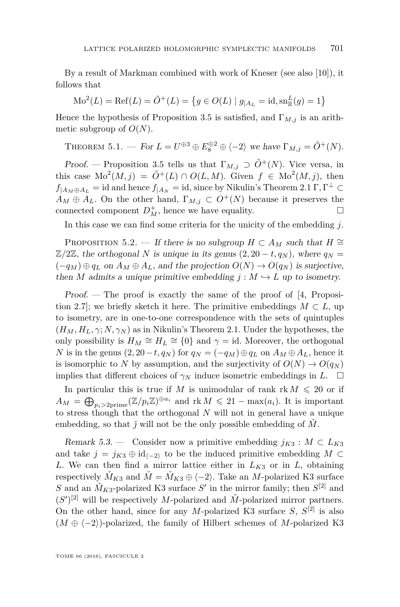By a result of Markman combined with work of Kneser (see also [\[10\]](#page-22-13)), it follows that

$$
\text{Mo}^2(L) = \text{Ref}(L) = \tilde{O}^+(L) = \{ g \in O(L) \mid g_{|A_L} = \text{id}, \text{sn}_\mathbb{R}^L(g) = 1 \}
$$

Hence the hypothesis of Proposition [3.5](#page-10-0) is satisfied, and  $\Gamma_{M,j}$  is an arithmetic subgroup of  $O(N)$ .

<span id="page-15-1"></span>THEOREM 5.1. — For 
$$
L = U^{\oplus 3} \oplus E_8^{\oplus 2} \oplus \langle -2 \rangle
$$
 we have  $\Gamma_{M,j} = \tilde{O}^+(N)$ .

Proof. — Proposition [3.5](#page-10-0) tells us that  $\Gamma_{M,j} \supset \tilde{O}^{+}(N)$ . Vice versa, in this case  $\text{Mo}^2(M, j) = \tilde{O}^+(L) \cap O(L, M)$ . Given  $f \in \text{Mo}^2(M, j)$ , then  $f|_{A_M \oplus A_L}$  = id and hence  $f|_{A_N}$  = id, since by Nikulin's Theorem [2.1](#page-3-0) Γ, Γ<sup>⊥</sup> ⊂  $A_M \oplus A_L$ . On the other hand,  $\Gamma_{M,j} \subset O^+(N)$  because it preserves the connected component  $D_M^+$ , hence we have equality.  $\square$ 

In this case we can find some criteria for the unicity of the embedding *j*.

<span id="page-15-0"></span>PROPOSITION 5.2. — If there is no subgroup  $H \subset A_M$  such that  $H \cong$  $\mathbb{Z}/2\mathbb{Z}$ , the orthogonal *N* is unique in its genus  $(2, 20 - t, q_N)$ , where  $q_N =$  $(-q_M) \oplus q_L$  on  $A_M \oplus A_L$ , and the projection  $O(N) \rightarrow O(q_N)$  is surjective, then *M* admits a unique primitive embedding  $j : M \hookrightarrow L$  up to isometry.

Proof. — The proof is exactly the same of the proof of [\[4,](#page-22-17) Proposition 2.7]; we briefly sketch it here. The primitive embeddings  $M \subset L$ , up to isometry, are in one-to-one correspondence with the sets of quintuples  $(H_M, H_L, \gamma; N, \gamma_N)$  as in Nikulin's Theorem [2.1.](#page-3-0) Under the hypotheses, the only possibility is  $H_M \cong H_L \cong \{0\}$  and  $\gamma = id$ . Moreover, the orthogonal *N* is in the genus  $(2, 20-t, q_N)$  for  $q_N = (-q_M) \oplus q_L$  on  $A_M \oplus A_L$ , hence it is isomorphic to *N* by assumption, and the surjectivity of  $O(N) \rightarrow O(q_N)$ implies that different choices of  $\gamma_N$  induce isometric embeddings in *L*.  $\Box$ 

In particular this is true if *M* is unimodular of rank  $rk M \leq 20$  or if  $A_M = \bigoplus_{p_i > 2\text{prime}} (\mathbb{Z}/p_i \mathbb{Z})^{\oplus a_i}$  and  $\text{rk } M \leq 21 - \max(a_i)$ . It is important to stress though that the orthogonal *N* will not in general have a unique embedding, so that  $\check{j}$  will not be the only possible embedding of  $\check{M}$ .

Remark 5.3. — Consider now a primitive embedding  $j_{K3}: M \subset L_{K3}$ and take  $j = j_{K3} \oplus id_{\langle -2 \rangle}$  to be the induced primitive embedding  $M \subset$ *L*. We can then find a mirror lattice either in  $L_{K3}$  or in *L*, obtaining respectively  $\check{M}_{K3}$  and  $\check{M} = \check{M}_{K3} \oplus \langle -2 \rangle$ . Take an *M*-polarized K3 surface S and an  $\check{M}_{K3}$ -polarized K3 surface S' in the mirror family; then  $S^{[2]}$  and  $(S')^{[2]}$  will be respectively M-polarized and  $\check{M}$ -polarized mirror partners. On the other hand, since for any *M*-polarized K3 surface  $S$ ,  $S^{[2]}$  is also  $(M \oplus \langle -2 \rangle)$ -polarized, the family of Hilbert schemes of *M*-polarized K3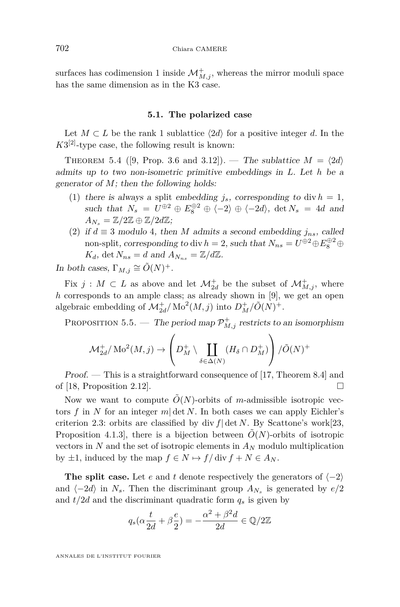surfaces has codimension 1 inside  $\mathcal{M}^+_{M,j},$  whereas the mirror moduli space has the same dimension as in the K3 case.

#### **5.1. The polarized case**

Let  $M \subset L$  be the rank 1 sublattice  $\langle 2d \rangle$  for a positive integer *d*. In the  $K3^{[2]}$ -type case, the following result is known:

THEOREM 5.4 ([\[9,](#page-22-12) Prop. 3.6 and 3.12]). — The sublattice  $M = \langle 2d \rangle$ admits up to two non-isometric primitive embeddings in *L*. Let *h* be a generator of *M*; then the following holds:

- (1) there is always a split embedding  $j_s$ , corresponding to div  $h = 1$ , such that  $N_s = U^{\oplus 2} \oplus E_8^{\oplus 2} \oplus \langle -2 \rangle \oplus \langle -2d \rangle$ , det  $N_s = 4d$  and  $A_{N_s} = \mathbb{Z}/2\mathbb{Z} \oplus \mathbb{Z}/2d\mathbb{Z};$
- (2) if  $d \equiv 3$  modulo 4, then *M* admits a second embedding  $j_{ns}$ , called non-split, corresponding to div  $h = 2$ , such that  $N_{ns} = U^{\oplus 2} \oplus E_8^{\oplus 2} \oplus E_8$  $K_d$ , det  $N_{ns} = d$  and  $A_{N_{ns}} = \mathbb{Z}/d\mathbb{Z}$ .

In both cases,  $\Gamma_{M,j} \cong \tilde{O}(N)^+$ .

Fix  $j: M \subset L$  as above and let  $\mathcal{M}_{2d}^+$  be the subset of  $\mathcal{M}_{M,j}^+$ , where *h* corresponds to an ample class; as already shown in [\[9\]](#page-22-12), we get an open algebraic embedding of  $\mathcal{M}_{2d}^+/\text{Mo}^2(M, j)$  into  $D_M^+/\tilde{O}(N)^+$ .

PROPOSITION 5.5. — The period map  $\mathcal{P}^+_{M,j}$  restricts to an isomorphism

$$
\mathcal{M}_{2d}^+/\operatorname{Mo}^2(M,j) \to \left(D_M^+ \setminus \coprod_{\delta \in \Delta(N)} (H_\delta \cap D_M^+) \right) / \tilde{O}(N)^+
$$

Proof. — This is a straightforward consequence of [\[17,](#page-22-11) Theorem 8.4] and of [\[18,](#page-22-16) Proposition 2.12].

Now we want to compute  $\tilde{O}(N)$ -orbits of *m*-admissible isotropic vectors *f* in *N* for an integer *m*| det *N*. In both cases we can apply Eichler's criterion [2.3:](#page-4-0) orbits are classified by div *f*| det *N*. By Scattone's work[\[23,](#page-22-7) Proposition 4.1.3], there is a bijection between  $\tilde{O}(N)$ -orbits of isotropic vectors in  $N$  and the set of isotropic elements in  $A_N$  modulo multiplication by  $\pm 1$ , induced by the map  $f \in N \mapsto f/\text{div } f + N \in A_N$ .

**The split case.** Let *e* and *t* denote respectively the generators of  $\langle -2 \rangle$ and  $\langle -2d \rangle$  in  $N_s$ . Then the discriminant group  $A_{N_s}$  is generated by  $e/2$ and  $t/2d$  and the discriminant quadratic form  $q_s$  is given by

$$
q_s(\alpha \frac{t}{2d} + \beta \frac{e}{2}) = -\frac{\alpha^2 + \beta^2 d}{2d} \in \mathbb{Q}/2\mathbb{Z}
$$

ANNALES DE L'INSTITUT FOURIER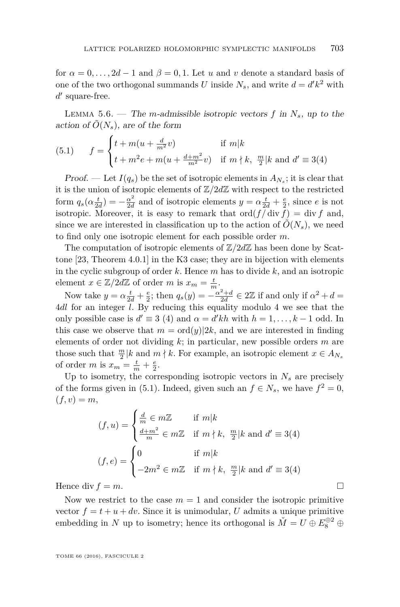for  $\alpha = 0, \ldots, 2d - 1$  and  $\beta = 0, 1$ . Let *u* and *v* denote a standard basis of one of the two orthogonal summands *U* inside  $N_s$ , and write  $d = d'k^2$  with d' square-free.

<span id="page-17-1"></span>LEMMA 5.6. — The *m*-admissible isotropic vectors  $f$  in  $N_s$ , up to the action of  $\tilde{O}(N_s)$ , are of the form

<span id="page-17-0"></span>(5.1) 
$$
f = \begin{cases} t + m(u + \frac{d}{m^2}v) & \text{if } m \mid k \\ t + m^2 e + m(u + \frac{d+m^2}{m^2}v) & \text{if } m \nmid k, \frac{m}{2} \mid k \text{ and } d' \equiv 3(4) \end{cases}
$$

Proof. — Let  $I(q_s)$  be the set of isotropic elements in  $A_{N_s}$ ; it is clear that it is the union of isotropic elements of  $\mathbb{Z}/2d\mathbb{Z}$  with respect to the restricted form  $q_s(\alpha \frac{t}{2d}) = -\frac{\alpha^2}{2d}$  $\frac{\alpha^2}{2d}$  and of isotropic elements  $y = \alpha \frac{t}{2d} + \frac{e}{2}$ , since *e* is not isotropic. Moreover, it is easy to remark that  $\text{ord}(f/\text{div } f) = \text{div } f$  and, since we are interested in classification up to the action of  $O(N_s)$ , we need to find only one isotropic element for each possible order *m*.

The computation of isotropic elements of  $\mathbb{Z}/2d\mathbb{Z}$  has been done by Scattone [\[23,](#page-22-7) Theorem 4.0.1] in the K3 case; they are in bijection with elements in the cyclic subgroup of order *k*. Hence *m* has to divide *k*, and an isotropic element  $x \in \mathbb{Z}/2d\mathbb{Z}$  of order *m* is  $x_m = \frac{t}{m}$ .

Now take  $y = \alpha \frac{t}{2d} + \frac{e}{2}$ ; then  $q_s(y) = -\frac{\alpha^2 + d}{2d} \in 2\mathbb{Z}$  if and only if  $\alpha^2 + d =$ 4*dl* for an integer *l*. By reducing this equality modulo 4 we see that the only possible case is  $d' \equiv 3$  (4) and  $\alpha = d'kh$  with  $h = 1, \ldots, k - 1$  odd. In this case we observe that  $m = \text{ord}(y)|2k$ , and we are interested in finding elements of order not dividing *k*; in particular, new possible orders *m* are those such that  $\frac{m}{2} | k$  and  $m \nmid k$ . For example, an isotropic element  $x \in A_{N_s}$ of order *m* is  $x_m = \frac{t}{m} + \frac{e}{2}$ .

Up to isometry, the corresponding isotropic vectors in  $N_s$  are precisely of the forms given in [\(5.1\)](#page-17-0). Indeed, given such an  $f \in N_s$ , we have  $f^2 = 0$ ,  $(f, v) = m$ ,

$$
(f, u) = \begin{cases} \frac{d}{m} \in m\mathbb{Z} & \text{if } m \mid k \\ \frac{d+m^2}{m} \in m\mathbb{Z} & \text{if } m \nmid k, \frac{m}{2} \mid k \text{ and } d' \equiv 3(4) \end{cases}
$$

$$
(f, e) = \begin{cases} 0 & \text{if } m \mid k \\ -2m^2 \in m\mathbb{Z} & \text{if } m \nmid k, \frac{m}{2} \mid k \text{ and } d' \equiv 3(4) \end{cases}
$$
Hence div  $f = m$ .

Now we restrict to the case  $m = 1$  and consider the isotropic primitive vector  $f = t + u + dv$ . Since it is unimodular, *U* admits a unique primitive embedding in *N* up to isometry; hence its orthogonal is  $\check{M} = U \oplus E_8^{\oplus 2} \oplus$ 

TOME 66 (2016), FASCICULE 2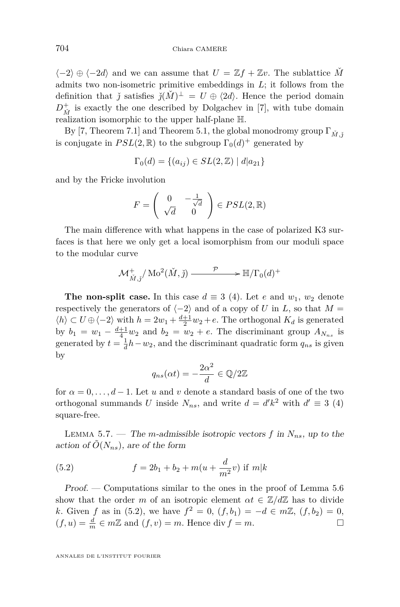$\langle -2 \rangle \oplus \langle -2d \rangle$  and we can assume that  $U = \mathbb{Z} f + \mathbb{Z} v$ . The sublattice  $\check{M}$ admits two non-isometric primitive embeddings in *L*; it follows from the definition that  $\check{j}$  satisfies  $\check{j}(\check{M})^{\perp} = U \oplus \langle 2d \rangle$ . Hence the period domain  $D_{\tilde{M}}^+$  is exactly the one described by Dolgachev in [\[7\]](#page-22-0), with tube domain realization isomorphic to the upper half-plane H.

By [\[7,](#page-22-0) Theorem 7.1] and Theorem [5.1,](#page-15-1) the global monodromy group  $\Gamma_{\check{M},\check{J}}$ is conjugate in  $PSL(2, \mathbb{R})$  to the subgroup  $\Gamma_0(d)^+$  generated by

$$
\Gamma_0(d) = \{(a_{ij}) \in SL(2, \mathbb{Z}) \mid d|a_{21}\}\
$$

and by the Fricke involution

$$
F = \left(\begin{array}{cc} 0 & -\frac{1}{\sqrt{d}} \\ \sqrt{d} & 0 \end{array}\right) \in PSL(2,\mathbb{R})
$$

The main difference with what happens in the case of polarized K3 surfaces is that here we only get a local isomorphism from our moduli space to the modular curve

$$
\mathcal{M}^+_{\check{M},\check{j}}/\operatorname{Mo}^2(\check{M},\check{j}) \xrightarrow{\mathcal{P}} \mathbb{H}/\Gamma_0(d)^+
$$

**The non-split case.** In this case  $d \equiv 3$  (4). Let *e* and  $w_1$ ,  $w_2$  denote respectively the generators of  $\langle -2 \rangle$  and of a copy of *U* in *L*, so that  $M =$  $\langle h \rangle$  ⊂ *U* ⊕  $\langle -2 \rangle$  with  $h = 2w_1 + \frac{d+1}{2}w_2 + e$ . The orthogonal  $K_d$  is generated by  $b_1 = w_1 - \frac{d+1}{4}w_2$  and  $b_2 = w_2 + e$ . The discriminant group  $A_{N_{ns}}$  is generated by  $t = \frac{1}{d}h - w_2$ , and the discriminant quadratic form  $q_{ns}$  is given by

$$
q_{ns}(\alpha t) = -\frac{2\alpha^2}{d} \in \mathbb{Q}/2\mathbb{Z}
$$

for  $\alpha = 0, \ldots, d-1$ . Let *u* and *v* denote a standard basis of one of the two orthogonal summands *U* inside  $N_{ns}$ , and write  $d = d'k^2$  with  $d' \equiv 3$  (4) square-free.

LEMMA 5.7. — The *m*-admissible isotropic vectors  $f$  in  $N_{ns}$ , up to the action of  $\tilde{O}(N_{ns})$ , are of the form

<span id="page-18-0"></span>(5.2) 
$$
f = 2b_1 + b_2 + m(u + \frac{d}{m^2}v) \text{ if } m|k
$$

Proof. — Computations similar to the ones in the proof of Lemma [5.6](#page-17-1) show that the order *m* of an isotropic element  $\alpha t \in \mathbb{Z}/d\mathbb{Z}$  has to divide *k*. Given *f* as in [\(5.2\)](#page-18-0), we have  $f^2 = 0$ ,  $(f, b_1) = -d \in m\mathbb{Z}$ ,  $(f, b_2) = 0$ ,  $(f, u) = \frac{d}{m} \in m\mathbb{Z}$  and  $(f, v) = m$ . Hence div  $f = m$ .

ANNALES DE L'INSTITUT FOURIER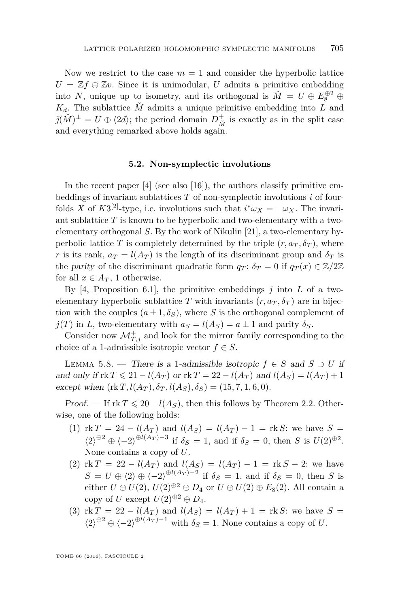Now we restrict to the case  $m = 1$  and consider the hyperbolic lattice  $U = \mathbb{Z} f \oplus \mathbb{Z} v$ . Since it is unimodular, *U* admits a primitive embedding into *N*, unique up to isometry, and its orthogonal is  $\check{M} = U \oplus E_8^{\oplus 2} \oplus$  $K_d$ . The sublattice  $\dot{M}$  admits a unique primitive embedding into *L* and  $(\check{M})^{\perp} = U \oplus \langle 2d \rangle$ ; the period domain  $D^+_{\check{M}}$  is exactly as in the split case and everything remarked above holds again.

#### **5.2. Non-symplectic involutions**

In the recent paper [\[4\]](#page-22-17) (see also [\[16\]](#page-22-18)), the authors classify primitive embeddings of invariant sublattices *T* of non-symplectic involutions *i* of fourfolds *X* of  $K3^{[2]}$ -type, i.e. involutions such that  $i^*\omega_X = -\omega_X$ . The invariant sublattice *T* is known to be hyperbolic and two-elementary with a twoelementary orthogonal *S*. By the work of Nikulin [\[21\]](#page-22-19), a two-elementary hyperbolic lattice *T* is completely determined by the triple  $(r, a_T, \delta_T)$ , where *r* is its rank,  $a_T = l(A_T)$  is the length of its discriminant group and  $\delta_T$  is the parity of the discriminant quadratic form  $q_T$ :  $\delta_T = 0$  if  $q_T(x) \in \mathbb{Z}/2\mathbb{Z}$ for all  $x \in A_T$ , 1 otherwise.

By [\[4,](#page-22-17) Proposition 6.1], the primitive embeddings *j* into *L* of a twoelementary hyperbolic sublattice *T* with invariants  $(r, a_T, \delta_T)$  are in bijection with the couples  $(a \pm 1, \delta_S)$ , where *S* is the orthogonal complement of  $j(T)$  in *L*, two-elementary with  $a_S = l(A_S) = a \pm 1$  and parity  $\delta_S$ .

Consider now  $\mathcal{M}_{T,j}^+$  and look for the mirror family corresponding to the choice of a 1-admissible isotropic vector  $f \in S$ .

LEMMA 5.8. — There is a 1-admissible isotropic  $f \in S$  and  $S \supset U$  if and only if  $rk T \leq 21 - l(A_T)$  or  $rk T = 22 - l(A_T)$  and  $l(A_S) = l(A_T) + 1$ except when  $(\text{rk } T, l(A_T), \delta_T, l(A_S), \delta_S) = (15, 7, 1, 6, 0).$ 

*Proof.* — If  $rk T \le 20 - l(A<sub>S</sub>)$ , then this follows by Theorem [2.2.](#page-4-1) Otherwise, one of the following holds:

- (1)  $rk T = 24 l(A_T)$  and  $l(A_S) = l(A_T) 1 = rk S$ : we have  $S =$  $\langle 2 \rangle^{\oplus 2} \oplus \langle -2 \rangle^{\oplus l(A_T)-3}$  if  $\delta_S = 1$ , and if  $\delta_S = 0$ , then *S* is  $U(2)^{\oplus 2}$ . None contains a copy of *U*.
- (2)  $rk T = 22 l(A_T)$  and  $l(A_S) = l(A_T) 1 = rk S 2$ : we have  $S = U \oplus \langle 2 \rangle \oplus \langle -2 \rangle^{\oplus l(A_T)-2}$  if  $\delta_S = 1$ , and if  $\delta_S = 0$ , then *S* is either  $U \oplus U(2)$ ,  $U(2) \oplus 2 \oplus D_4$  or  $U \oplus U(2) \oplus E_8(2)$ . All contain a copy of *U* except  $U(2)^{\oplus 2} \oplus D_4$ .
- (3)  $rk T = 22 l(A_T)$  and  $l(A_S) = l(A_T) + 1 = rk S$ : we have  $S =$  $\langle 2 \rangle^{\oplus 2} \oplus \langle -2 \rangle^{\oplus l(A_T)-1}$  with  $\delta_S = 1$ . None contains a copy of *U*.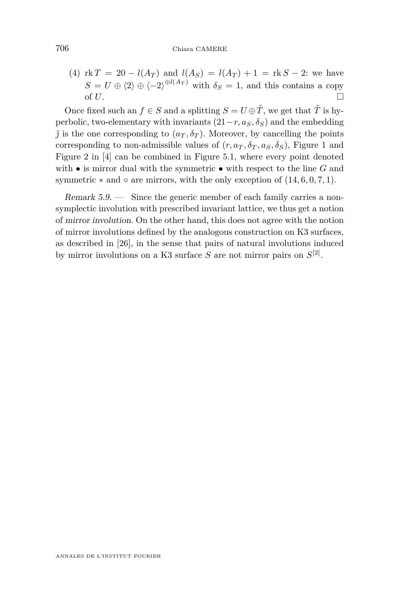(4)  $rk T = 20 - l(A_T)$  and  $l(A_S) = l(A_T) + 1 = rk S - 2$ : we have  $S = U \oplus \langle 2 \rangle \oplus \langle -2 \rangle^{\oplus l(A_T)}$  with  $\delta_S = 1$ , and this contains a copy of  $U$ .

Once fixed such an  $f \in S$  and a splitting  $S = U \oplus \check{T}$ , we get that  $\check{T}$  is hyperbolic, two-elementary with invariants  $(21-r, a<sub>S</sub>, \delta<sub>S</sub>)$  and the embedding  $\check{\jmath}$  is the one corresponding to  $(a_T, \delta_T)$ . Moreover, by cancelling the points corresponding to non-admissible values of  $(r, a_T, \delta_T, a_S, \delta_S)$ , Figure 1 and Figure 2 in [\[4\]](#page-22-17) can be combined in Figure [5.1,](#page-21-3) where every point denoted with  $\bullet$  is mirror dual with the symmetric  $\bullet$  with respect to the line *G* and symmetric ∗ and ∘ are mirrors, with the only exception of  $(14, 6, 0, 7, 1)$ .

Remark 5.9. — Since the generic member of each family carries a nonsymplectic involution with prescribed invariant lattice, we thus get a notion of mirror involution. On the other hand, this does not agree with the notion of mirror involutions defined by the analogous construction on K3 surfaces, as described in [\[26\]](#page-23-1), in the sense that pairs of natural involutions induced by mirror involutions on a K3 surface  $S$  are not mirror pairs on  $S^{[2]}$ .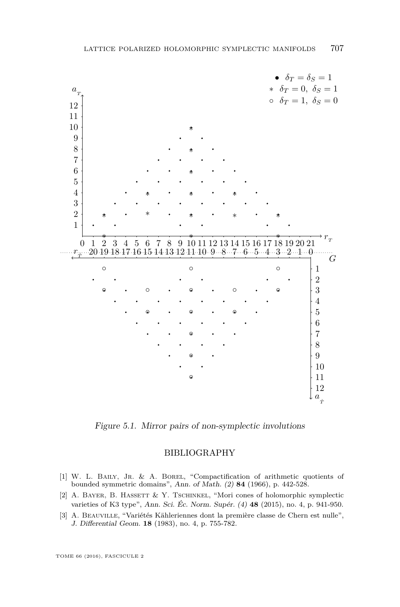

Figure 5.1. Mirror pairs of non-symplectic involutions

#### <span id="page-21-3"></span>BIBLIOGRAPHY

- <span id="page-21-1"></span>[1] W. L. BAILY, JR. & A. BOREL, "Compactification of arithmetic quotients of bounded symmetric domains", Ann. of Math. (2) **84** (1966), p. 442-528.
- <span id="page-21-2"></span>[2] A. BAYER, B. HASSETT & Y. TSCHINKEL, "Mori cones of holomorphic symplectic varieties of K3 type", Ann. Sci. Éc. Norm. Supér. (4) **48** (2015), no. 4, p. 941-950.
- <span id="page-21-0"></span>[3] A. Beauville, "Variétés Kähleriennes dont la première classe de Chern est nulle", J. Differential Geom. **18** (1983), no. 4, p. 755-782.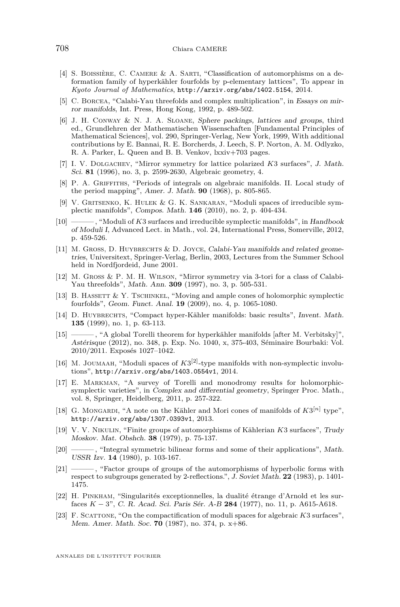- <span id="page-22-17"></span>[4] S. Boissière, C. Camere & A. Sarti, "Classification of automorphisms on a deformation family of hyperkähler fourfolds by p-elementary lattices", To appear in *Kyoto Journal of Mathematics*, <http://arxiv.org/abs/1402.5154>, 2014.
- <span id="page-22-3"></span>[5] C. BORCEA, "Calabi-Yau threefolds and complex multiplication", in Essays on mirror manifolds, Int. Press, Hong Kong, 1992, p. 489-502.
- <span id="page-22-5"></span>[6] J. H. Conway & N. J. A. Sloane, Sphere packings, lattices and groups, third ed., Grundlehren der Mathematischen Wissenschaften [Fundamental Principles of Mathematical Sciences], vol. 290, Springer-Verlag, New York, 1999, With additional contributions by E. Bannai, R. E. Borcherds, J. Leech, S. P. Norton, A. M. Odlyzko, R. A. Parker, L. Queen and B. B. Venkov, lxxiv+703 pages.
- <span id="page-22-0"></span>[7] I. V. Dolgachev, "Mirror symmetry for lattice polarized *K*3 surfaces", J. Math. Sci. **81** (1996), no. 3, p. 2599-2630, Algebraic geometry, 4.
- <span id="page-22-14"></span>[8] P. A. GRIFFITHS, "Periods of integrals on algebraic manifolds. II. Local study of the period mapping", Amer. J. Math. **90** (1968), p. 805-865.
- <span id="page-22-12"></span>[9] V. Gritsenko, K. Hulek & G. K. Sankaran, "Moduli spaces of irreducible symplectic manifolds", Compos. Math. **146** (2010), no. 2, p. 404-434.
- <span id="page-22-13"></span>[10] ——— , "Moduli of *K*3 surfaces and irreducible symplectic manifolds", in Handbook of Moduli I, Advanced Lect. in Math., vol. 24, International Press, Somerville, 2012, p. 459-526.
- <span id="page-22-8"></span>[11] M. GROSS, D. HUYBRECHTS & D. JOYCE, Calabi-Yau manifolds and related geometries, Universitext, Springer-Verlag, Berlin, 2003, Lectures from the Summer School held in Nordfjordeid, June 2001.
- <span id="page-22-4"></span>[12] M. Gross & P. M. H. Wilson, "Mirror symmetry via 3-tori for a class of Calabi-Yau threefolds", Math. Ann. **309** (1997), no. 3, p. 505-531.
- <span id="page-22-15"></span>[13] B. HASSETT  $& Y$ . TSCHINKEL, "Moving and ample cones of holomorphic symplectic fourfolds", Geom. Funct. Anal. **19** (2009), no. 4, p. 1065-1080.
- <span id="page-22-9"></span>[14] D. HUYBRECHTS, "Compact hyper-Kähler manifolds: basic results", Invent. Math. **135** (1999), no. 1, p. 63-113.
- <span id="page-22-10"></span>[15] ——— , "A global Torelli theorem for hyperkähler manifolds [after M. Verbitsky]", Astérisque (2012), no. 348, p. Exp. No. 1040, x, 375-403, Séminaire Bourbaki: Vol. 2010/2011. Exposés 1027–1042.
- <span id="page-22-18"></span>[16] M. JOUMAAH, "Moduli spaces of  $K3^{[2]}$ -type manifolds with non-symplectic involutions", <http://arxiv.org/abs/1403.0554v1>, 2014.
- <span id="page-22-11"></span>[17] E. Markman, "A survey of Torelli and monodromy results for holomorphicsymplectic varieties", in Complex and differential geometry, Springer Proc. Math., vol. 8, Springer, Heidelberg, 2011, p. 257-322.
- <span id="page-22-16"></span>[18] G. MONGARDI, "A note on the Kähler and Mori cones of manifolds of  $K3^{[n]}$  type", <http://arxiv.org/abs/1307.0393v1>, 2013.
- <span id="page-22-2"></span>[19] V. V. Nikulin, "Finite groups of automorphisms of Kählerian *K*3 surfaces", Trudy Moskov. Mat. Obshch. **38** (1979), p. 75-137.
- <span id="page-22-6"></span>[20] ——— , "Integral symmetric bilinear forms and some of their applications", Math. USSR Izv. **14** (1980), p. 103-167.
- <span id="page-22-19"></span>[21] ——— , "Factor groups of groups of the automorphisms of hyperbolic forms with respect to subgroups generated by 2-reflections.", J. Soviet Math. **22** (1983), p. 1401- 1475.
- <span id="page-22-1"></span>[22] H. Pinkham, "Singularités exceptionnelles, la dualité étrange d'Arnold et les surfaces *K* − 3", C. R. Acad. Sci. Paris Sér. A-B **284** (1977), no. 11, p. A615-A618.
- <span id="page-22-7"></span>[23] F. Scattone, "On the compactification of moduli spaces for algebraic *K*3 surfaces", Mem. Amer. Math. Soc. **70** (1987), no. 374, p. x+86.